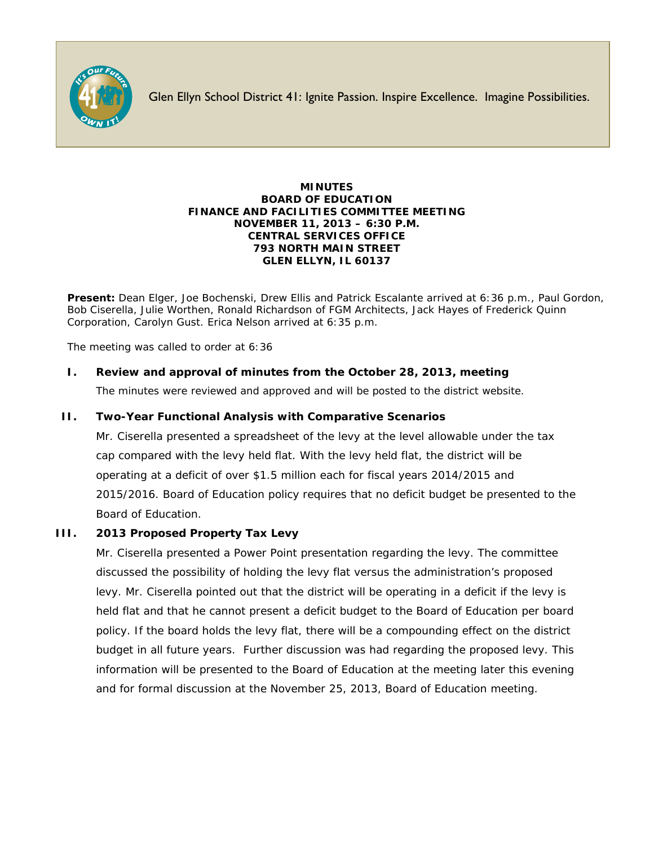

Glen Ellyn School District 41: Ignite Passion. Inspire Excellence. Imagine Possibilities.

#### **MINUTES BOARD OF EDUCATION FINANCE AND FACILITIES COMMITTEE MEETING NOVEMBER 11, 2013 – 6:30 P.M. CENTRAL SERVICES OFFICE 793 NORTH MAIN STREET GLEN ELLYN, IL 60137**

**Present:** Dean Elger, Joe Bochenski, Drew Ellis and Patrick Escalante arrived at 6:36 p.m., Paul Gordon, Bob Ciserella, Julie Worthen, Ronald Richardson of FGM Architects, Jack Hayes of Frederick Quinn Corporation, Carolyn Gust. Erica Nelson arrived at 6:35 p.m.

The meeting was called to order at 6:36

# **I. Review and approval of minutes from the October 28, 2013, meeting**

The minutes were reviewed and approved and will be posted to the district website.

# **II. Two-Year Functional Analysis with Comparative Scenarios**

Mr. Ciserella presented a spreadsheet of the levy at the level allowable under the tax cap compared with the levy held flat. With the levy held flat, the district will be operating at a deficit of over \$1.5 million each for fiscal years 2014/2015 and 2015/2016. Board of Education policy requires that no deficit budget be presented to the Board of Education.

# **III. 2013 Proposed Property Tax Levy**

Mr. Ciserella presented a Power Point presentation regarding the levy. The committee discussed the possibility of holding the levy flat versus the administration's proposed levy. Mr. Ciserella pointed out that the district will be operating in a deficit if the levy is held flat and that he cannot present a deficit budget to the Board of Education per board policy. If the board holds the levy flat, there will be a compounding effect on the district budget in all future years. Further discussion was had regarding the proposed levy. This information will be presented to the Board of Education at the meeting later this evening and for formal discussion at the November 25, 2013, Board of Education meeting.